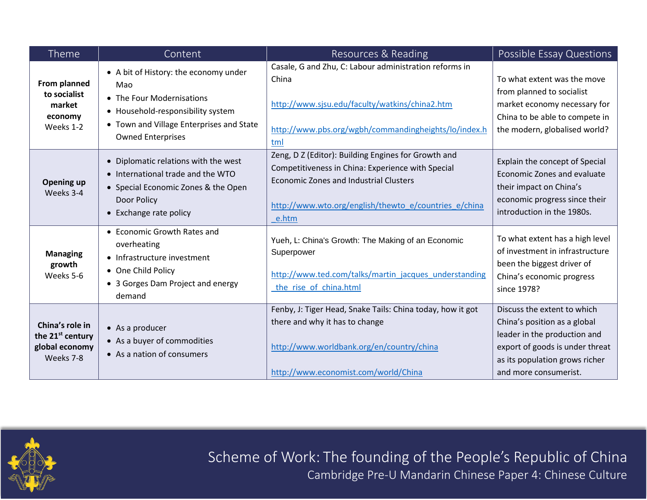| Theme                                                                          | Content                                                                                                                                                                                | Resources & Reading                                                                                                                                                                                                         | Possible Essay Questions                                                                                                                                                                  |
|--------------------------------------------------------------------------------|----------------------------------------------------------------------------------------------------------------------------------------------------------------------------------------|-----------------------------------------------------------------------------------------------------------------------------------------------------------------------------------------------------------------------------|-------------------------------------------------------------------------------------------------------------------------------------------------------------------------------------------|
| From planned<br>to socialist<br>market<br>economy<br>Weeks 1-2                 | • A bit of History: the economy under<br>Mao<br>• The Four Modernisations<br>• Household-responsibility system<br>• Town and Village Enterprises and State<br><b>Owned Enterprises</b> | Casale, G and Zhu, C: Labour administration reforms in<br>China<br>http://www.sjsu.edu/faculty/watkins/china2.htm<br>http://www.pbs.org/wgbh/commandingheights/lo/index.h<br>tml                                            | To what extent was the move<br>from planned to socialist<br>market economy necessary for<br>China to be able to compete in<br>the modern, globalised world?                               |
| Opening up<br>Weeks 3-4                                                        | • Diplomatic relations with the west<br>• International trade and the WTO<br>• Special Economic Zones & the Open<br>Door Policy<br>• Exchange rate policy                              | Zeng, D Z (Editor): Building Engines for Growth and<br>Competitiveness in China: Experience with Special<br><b>Economic Zones and Industrial Clusters</b><br>http://www.wto.org/english/thewto_e/countries_e/china<br>e.htm | Explain the concept of Special<br>Economic Zones and evaluate<br>their impact on China's<br>economic progress since their<br>introduction in the 1980s.                                   |
| <b>Managing</b><br>growth<br>Weeks 5-6                                         | • Economic Growth Rates and<br>overheating<br>• Infrastructure investment<br>• One Child Policy<br>• 3 Gorges Dam Project and energy<br>demand                                         | Yueh, L: China's Growth: The Making of an Economic<br>Superpower<br>http://www.ted.com/talks/martin_jacques_understanding<br>the rise of china.html                                                                         | To what extent has a high level<br>of investment in infrastructure<br>been the biggest driver of<br>China's economic progress<br>since 1978?                                              |
| China's role in<br>the 21 <sup>st</sup> century<br>global economy<br>Weeks 7-8 | $\bullet$ As a producer<br>• As a buyer of commodities<br>• As a nation of consumers                                                                                                   | Fenby, J: Tiger Head, Snake Tails: China today, how it got<br>there and why it has to change<br>http://www.worldbank.org/en/country/china<br>http://www.economist.com/world/China                                           | Discuss the extent to which<br>China's position as a global<br>leader in the production and<br>export of goods is under threat<br>as its population grows richer<br>and more consumerist. |



Scheme of Work: The founding of the People's Republic of China Cambridge Pre-U Mandarin Chinese Paper 4: Chinese Culture